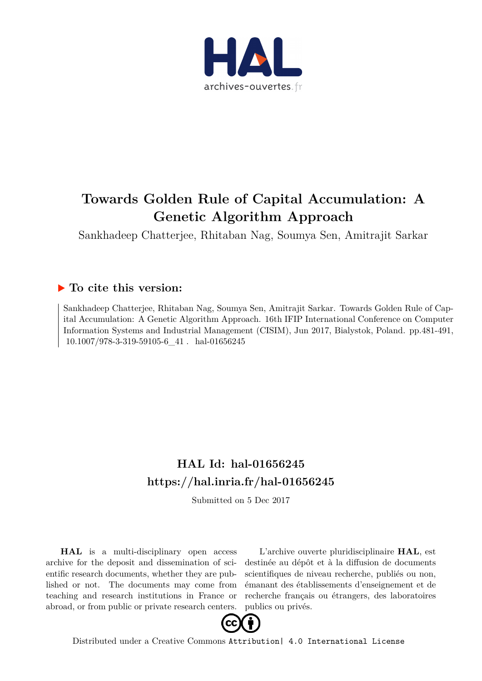

# **Towards Golden Rule of Capital Accumulation: A Genetic Algorithm Approach**

Sankhadeep Chatterjee, Rhitaban Nag, Soumya Sen, Amitrajit Sarkar

# **To cite this version:**

Sankhadeep Chatterjee, Rhitaban Nag, Soumya Sen, Amitrajit Sarkar. Towards Golden Rule of Capital Accumulation: A Genetic Algorithm Approach. 16th IFIP International Conference on Computer Information Systems and Industrial Management (CISIM), Jun 2017, Bialystok, Poland. pp.481-491,  $10.1007/978-3-319-59105-6\_41$ . hal-01656245

# **HAL Id: hal-01656245 <https://hal.inria.fr/hal-01656245>**

Submitted on 5 Dec 2017

**HAL** is a multi-disciplinary open access archive for the deposit and dissemination of scientific research documents, whether they are published or not. The documents may come from teaching and research institutions in France or abroad, or from public or private research centers.

L'archive ouverte pluridisciplinaire **HAL**, est destinée au dépôt et à la diffusion de documents scientifiques de niveau recherche, publiés ou non, émanant des établissements d'enseignement et de recherche français ou étrangers, des laboratoires publics ou privés.



Distributed under a Creative Commons [Attribution| 4.0 International License](http://creativecommons.org/licenses/by/4.0/)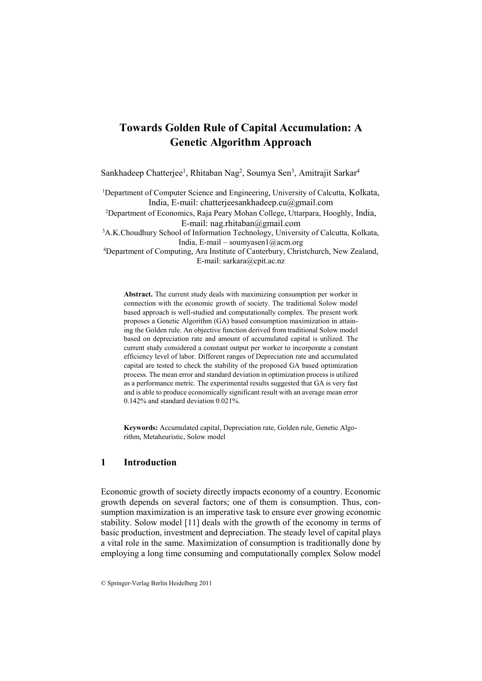# **Towards Golden Rule of Capital Accumulation: A Genetic Algorithm Approach**

Sankhadeep Chatterjee<sup>1</sup>, Rhitaban Nag<sup>2</sup>, Soumya Sen<sup>3</sup>, Amitrajit Sarkar<sup>4</sup>

<sup>1</sup>Department of Computer Science and Engineering, University of Calcutta, Kolkata, India, E-mail: chatterjeesankhadeep.cu@gmail.com

<sup>2</sup>Department of Economics, Raja Peary Mohan College, Uttarpara, Hooghly, India, E-mail: nag.rhitaban@gmail.com

<sup>3</sup>A.K.Choudhury School of Information Technology, University of Calcutta, Kolkata, India, E-mail – [soumyasen1@acm.org](mailto:soumyasen1@acm.org)

<sup>4</sup>Department of Computing, Ara Institute of Canterbury, Christchurch, New Zealand, E-mail: sarkara@cpit.ac.nz

**Abstract.** The current study deals with maximizing consumption per worker in connection with the economic growth of society. The traditional Solow model based approach is well-studied and computationally complex. The present work proposes a Genetic Algorithm (GA) based consumption maximization in attaining the Golden rule. An objective function derived from traditional Solow model based on depreciation rate and amount of accumulated capital is utilized. The current study considered a constant output per worker to incorporate a constant efficiency level of labor. Different ranges of Depreciation rate and accumulated capital are tested to check the stability of the proposed GA based optimization process. The mean error and standard deviation in optimization process is utilized as a performance metric. The experimental results suggested that GA is very fast and is able to produce economically significant result with an average mean error 0.142% and standard deviation 0.021%.

**Keywords:** Accumulated capital, Depreciation rate, Golden rule, Genetic Algorithm, Metaheuristic, Solow model

### **1 Introduction**

Economic growth of society directly impacts economy of a country. Economic growth depends on several factors; one of them is consumption. Thus, consumption maximization is an imperative task to ensure ever growing economic stability. Solow model [11] deals with the growth of the economy in terms of basic production, investment and depreciation. The steady level of capital plays a vital role in the same. Maximization of consumption is traditionally done by employing a long time consuming and computationally complex Solow model

<sup>©</sup> Springer-Verlag Berlin Heidelberg 2011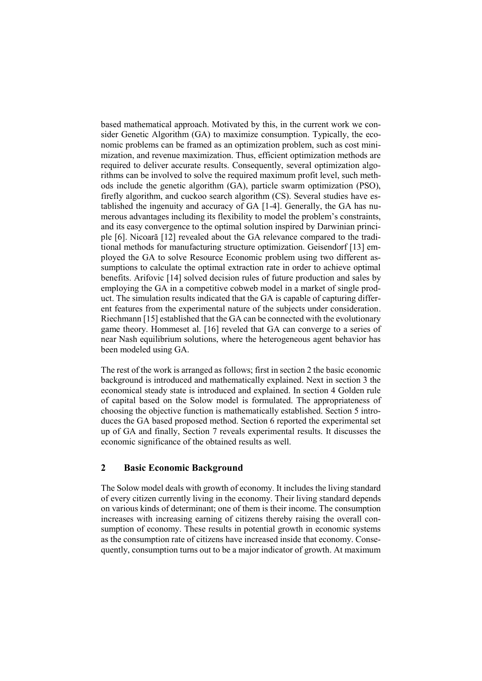based mathematical approach. Motivated by this, in the current work we consider Genetic Algorithm (GA) to maximize consumption. Typically, the economic problems can be framed as an optimization problem, such as cost minimization, and revenue maximization. Thus, efficient optimization methods are required to deliver accurate results. Consequently, several optimization algorithms can be involved to solve the required maximum profit level, such methods include the genetic algorithm (GA), particle swarm optimization (PSO), firefly algorithm, and cuckoo search algorithm (CS). Several studies have established the ingenuity and accuracy of GA [1-4]. Generally, the GA has numerous advantages including its flexibility to model the problem's constraints, and its easy convergence to the optimal solution inspired by Darwinian principle [6]. Nicoară [12] revealed about the GA relevance compared to the traditional methods for manufacturing structure optimization. Geisendorf [13] employed the GA to solve Resource Economic problem using two different assumptions to calculate the optimal extraction rate in order to achieve optimal benefits. Arifovic [14] solved decision rules of future production and sales by employing the GA in a competitive cobweb model in a market of single product. The simulation results indicated that the GA is capable of capturing different features from the experimental nature of the subjects under consideration. Riechmann [15] established that the GA can be connected with the evolutionary game theory. Hommeset al. [16] reveled that GA can converge to a series of near Nash equilibrium solutions, where the heterogeneous agent behavior has been modeled using GA.

The rest of the work is arranged as follows; first in section 2 the basic economic background is introduced and mathematically explained. Next in section 3 the economical steady state is introduced and explained. In section 4 Golden rule of capital based on the Solow model is formulated. The appropriateness of choosing the objective function is mathematically established. Section 5 introduces the GA based proposed method. Section 6 reported the experimental set up of GA and finally, Section 7 reveals experimental results. It discusses the economic significance of the obtained results as well.

# **2 Basic Economic Background**

The Solow model deals with growth of economy. It includes the living standard of every citizen currently living in the economy. Their living standard depends on various kinds of determinant; one of them is their income. The consumption increases with increasing earning of citizens thereby raising the overall consumption of economy. These results in potential growth in economic systems as the consumption rate of citizens have increased inside that economy. Consequently, consumption turns out to be a major indicator of growth. At maximum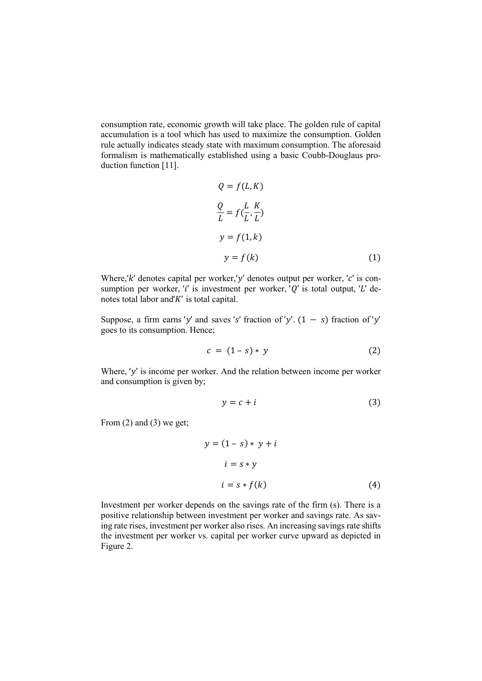consumption rate, economic growth will take place. The golden rule of capital accumulation is a tool which has used to maximize the consumption. Golden rule actually indicates steady state with maximum consumption. The aforesaid formalism is mathematically established using a basic Coubb-Douglaus production function [11].

$$
Q = f(L, K)
$$
  
\n
$$
\frac{Q}{L} = f(\frac{L}{L}, \frac{K}{L})
$$
  
\n
$$
y = f(1, k)
$$
  
\n
$$
y = f(k)
$$
 (1)

Where,' $k'$  denotes capital per worker,'y' denotes output per worker, 'c' is consumption per worker, 't' is investment per worker, ' $Q'$  is total output, 'L' denotes total labor and  $K'$  is total capital.

Suppose, a firm earns 'y' and saves 's' fraction of 'y'.  $(1 - s)$  fraction of 'y' goes to its consumption. Hence;

$$
c = (1 - s) * y \tag{2}
$$

Where, ' $y'$  is income per worker. And the relation between income per worker and consumption is given by;

$$
y = c + i \tag{3}
$$

From (2) and (3) we get;

$$
y = (1 - s) * y + i
$$
  
\n
$$
i = s * y
$$
  
\n
$$
i = s * f(k)
$$
 (4)

Investment per worker depends on the savings rate of the firm (s). There is a positive relationship between investment per worker and savings rate. As saving rate rises, investment per worker also rises. An increasing savings rate shifts the investment per worker vs. capital per worker curve upward as depicted in Figure 2.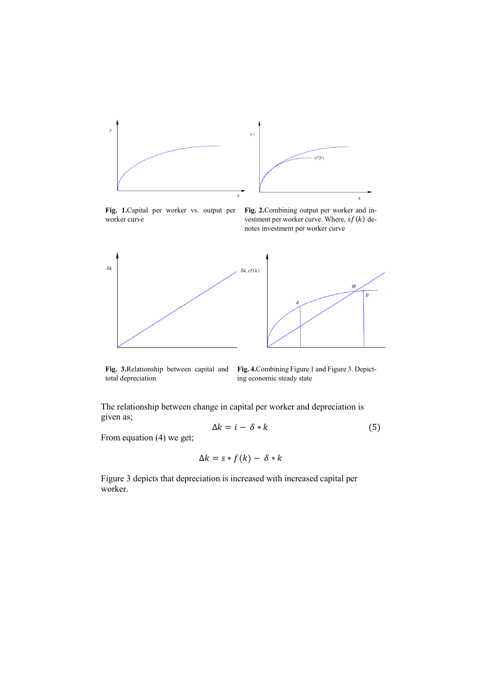

**Fig. 1.**Capital per worker vs. output per worker curve

**Fig. 2.**Combining output per worker and investment per worker curve. Where,  $sf(k)$  denotes investment per worker curve



**Fig. 3.**Relationship between capital and total depreciation

**Fig. 4.**Combining Figure 1 and Figure 3. Depicting economic steady state

The relationship between change in capital per worker and depreciation is given as;

$$
\Delta k = i - \delta * k \tag{5}
$$

From equation (4) we get;

$$
\Delta k = s * f(k) - \delta * k
$$

Figure 3 depicts that depreciation is increased with increased capital per worker.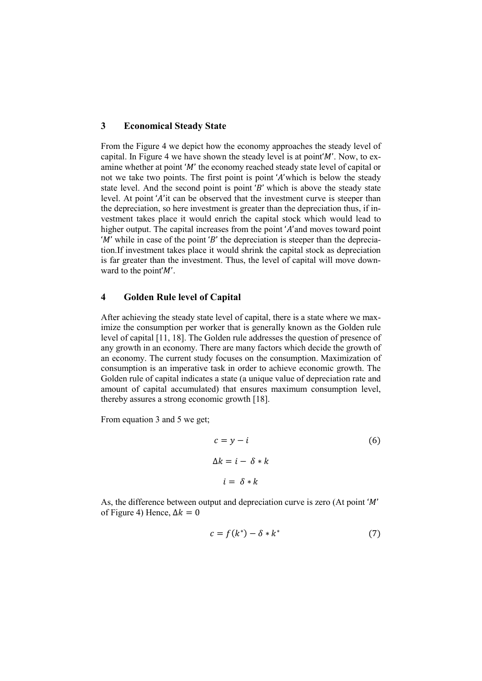### **3 Economical Steady State**

From the Figure 4 we depict how the economy approaches the steady level of capital. In Figure 4 we have shown the steady level is at point  $M'$ . Now, to examine whether at point ' $M'$ ' the economy reached steady state level of capital or not we take two points. The first point is point 'A'which is below the steady state level. And the second point is point  $B'$  which is above the steady state level. At point 'A'it can be observed that the investment curve is steeper than the depreciation, so here investment is greater than the depreciation thus, if investment takes place it would enrich the capital stock which would lead to higher output. The capital increases from the point 'A' and moves toward point 'M' while in case of the point 'B' the depreciation is steeper than the depreciation.If investment takes place it would shrink the capital stock as depreciation is far greater than the investment. Thus, the level of capital will move downward to the point  $M'$ .

# **4 Golden Rule level of Capital**

After achieving the steady state level of capital, there is a state where we maximize the consumption per worker that is generally known as the Golden rule level of capital [11, 18]. The Golden rule addresses the question of presence of any growth in an economy. There are many factors which decide the growth of an economy. The current study focuses on the consumption. Maximization of consumption is an imperative task in order to achieve economic growth. The Golden rule of capital indicates a state (a unique value of depreciation rate and amount of capital accumulated) that ensures maximum consumption level, thereby assures a strong economic growth [18].

From equation 3 and 5 we get;

$$
c = y - i
$$
  
\n
$$
\Delta k = i - \delta * k
$$
  
\n
$$
i = \delta * k
$$
 (6)

As, the difference between output and depreciation curve is zero (At point  $'M'$ ) of Figure 4) Hence,  $\Delta k = 0$ 

$$
c = f(k^*) - \delta * k^* \tag{7}
$$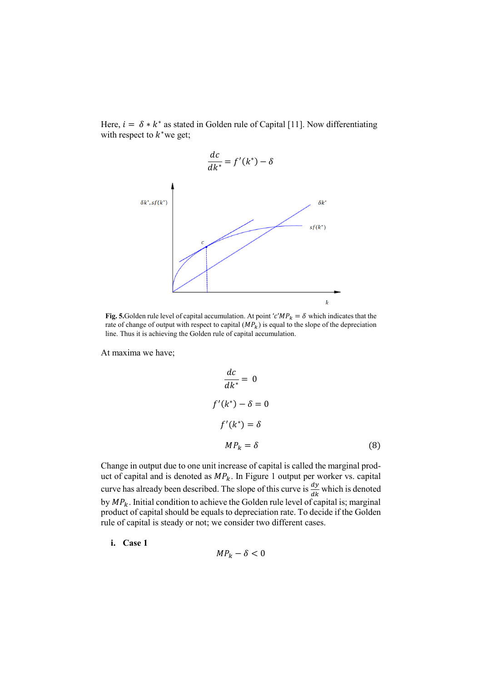Here,  $i = \delta * k^*$  as stated in Golden rule of Capital [11]. Now differentiating with respect to  $k^*$  we get;



**Fig. 5.**Golden rule level of capital accumulation. At point ' $c'MP_k = \delta$  which indicates that the rate of change of output with respect to capital  $(MP_k)$  is equal to the slope of the depreciation line. Thus it is achieving the Golden rule of capital accumulation.

At maxima we have;

$$
\frac{dc}{dk^*} = 0
$$
  

$$
f'(k^*) - \delta = 0
$$
  

$$
f'(k^*) = \delta
$$
  

$$
MP_k = \delta
$$
 (8)

Change in output due to one unit increase of capital is called the marginal product of capital and is denoted as  $MP_k$ . In Figure 1 output per worker vs. capital curve has already been described. The slope of this curve is  $\frac{dy}{dx}$  which is denoted by  $MP_k$ . Initial condition to achieve the Golden rule level of capital is; marginal product of capital should be equals to depreciation rate. To decide if the Golden rule of capital is steady or not; we consider two different cases.

**i. Case 1**

$$
MP_k - \delta < 0
$$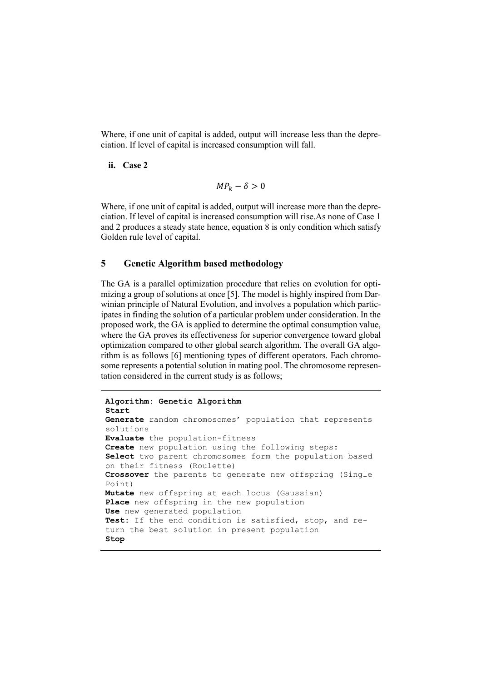Where, if one unit of capital is added, output will increase less than the depreciation. If level of capital is increased consumption will fall.

#### **ii. Case 2**

$$
MP_k - \delta > 0
$$

Where, if one unit of capital is added, output will increase more than the depreciation. If level of capital is increased consumption will rise.As none of Case 1 and 2 produces a steady state hence, equation 8 is only condition which satisfy Golden rule level of capital.

# **5 Genetic Algorithm based methodology**

The GA is a parallel optimization procedure that relies on evolution for optimizing a group of solutions at once [5]. The model is highly inspired from Darwinian principle of Natural Evolution, and involves a population which participates in finding the solution of a particular problem under consideration. In the proposed work, the GA is applied to determine the optimal consumption value, where the GA proves its effectiveness for superior convergence toward global optimization compared to other global search algorithm. The overall GA algorithm is as follows [6] mentioning types of different operators. Each chromosome represents a potential solution in mating pool. The chromosome representation considered in the current study is as follows;

```
Algorithm: Genetic Algorithm
Start
Generate random chromosomes' population that represents 
solutions 
Evaluate the population-fitness
Create new population using the following steps:
Select two parent chromosomes form the population based 
on their fitness (Roulette)
Crossover the parents to generate new offspring (Single 
Point)
Mutate new offspring at each locus (Gaussian)
Place new offspring in the new population
Use new generated population 
Test: If the end condition is satisfied, stop, and re-
turn the best solution in present population
Stop
```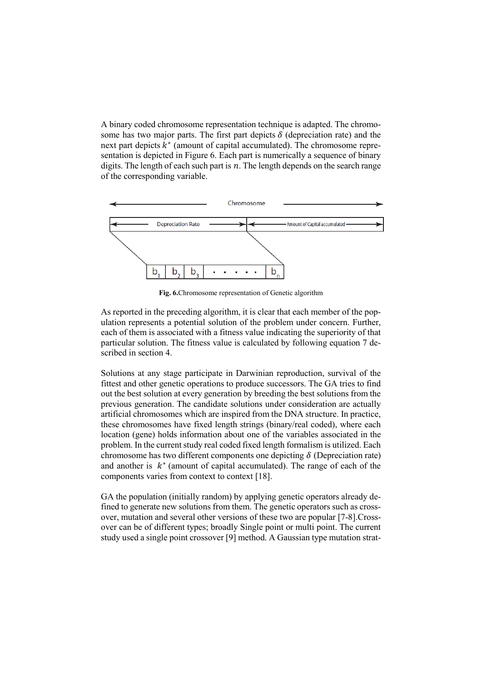A binary coded chromosome representation technique is adapted. The chromosome has two major parts. The first part depicts  $\delta$  (depreciation rate) and the next part depicts  $k^*$  (amount of capital accumulated). The chromosome representation is depicted in Figure 6. Each part is numerically a sequence of binary digits. The length of each such part is  $n$ . The length depends on the search range of the corresponding variable.



**Fig. 6.**Chromosome representation of Genetic algorithm

As reported in the preceding algorithm, it is clear that each member of the population represents a potential solution of the problem under concern. Further, each of them is associated with a fitness value indicating the superiority of that particular solution. The fitness value is calculated by following equation 7 described in section 4.

Solutions at any stage participate in Darwinian reproduction, survival of the fittest and other genetic operations to produce successors. The GA tries to find out the best solution at every generation by breeding the best solutions from the previous generation. The candidate solutions under consideration are actually artificial chromosomes which are inspired from the DNA structure. In practice, these chromosomes have fixed length strings (binary/real coded), where each location (gene) holds information about one of the variables associated in the problem. In the current study real coded fixed length formalism is utilized. Each chromosome has two different components one depicting  $\delta$  (Depreciation rate) and another is  $k^*$  (amount of capital accumulated). The range of each of the components varies from context to context [18].

GA the population (initially random) by applying genetic operators already defined to generate new solutions from them. The genetic operators such as crossover, mutation and several other versions of these two are popular [7-8].Crossover can be of different types; broadly Single point or multi point. The current study used a single point crossover [9] method. A Gaussian type mutation strat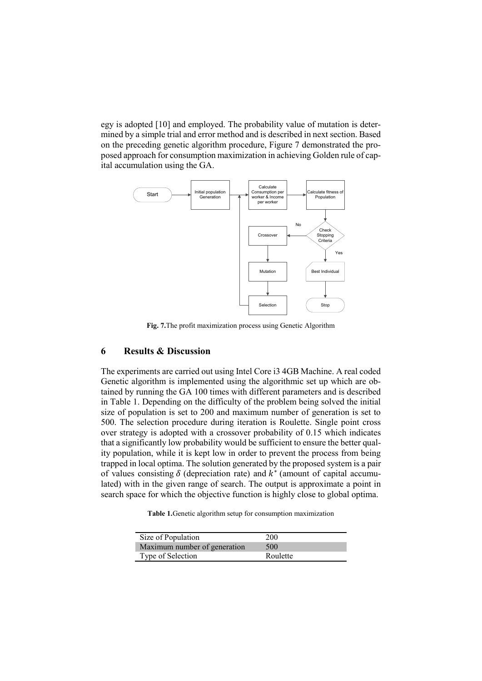egy is adopted [10] and employed. The probability value of mutation is determined by a simple trial and error method and is described in next section. Based on the preceding genetic algorithm procedure, Figure 7 demonstrated the proposed approach for consumption maximization in achieving Golden rule of capital accumulation using the GA.



**Fig. 7.**The profit maximization process using Genetic Algorithm

# **6 Results & Discussion**

The experiments are carried out using Intel Core i3 4GB Machine. A real coded Genetic algorithm is implemented using the algorithmic set up which are obtained by running the GA 100 times with different parameters and is described in Table 1. Depending on the difficulty of the problem being solved the initial size of population is set to 200 and maximum number of generation is set to 500. The selection procedure during iteration is Roulette. Single point cross over strategy is adopted with a crossover probability of 0.15 which indicates that a significantly low probability would be sufficient to ensure the better quality population, while it is kept low in order to prevent the process from being trapped in local optima. The solution generated by the proposed system is a pair of values consisting  $\delta$  (depreciation rate) and  $k^*$  (amount of capital accumulated) with in the given range of search. The output is approximate a point in search space for which the objective function is highly close to global optima.

**Table 1.**Genetic algorithm setup for consumption maximization

| Size of Population           | 200      |
|------------------------------|----------|
| Maximum number of generation | 500      |
| Type of Selection            | Roulette |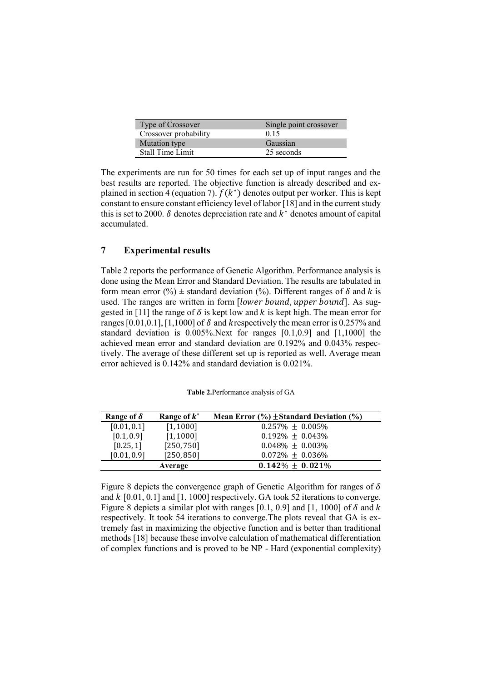| Type of Crossover     | Single point crossover |
|-----------------------|------------------------|
| Crossover probability | 0.15                   |
| Mutation type         | Gaussian               |
| Stall Time Limit      | 25 seconds             |

The experiments are run for 50 times for each set up of input ranges and the best results are reported. The objective function is already described and explained in section 4 (equation 7).  $f(k^*)$  denotes output per worker. This is kept constant to ensure constant efficiency level of labor [18] and in the current study this is set to 2000.  $\delta$  denotes depreciation rate and  $k^*$  denotes amount of capital accumulated.

# **7 Experimental results**

Table 2 reports the performance of Genetic Algorithm. Performance analysis is done using the Mean Error and Standard Deviation. The results are tabulated in form mean error (%)  $\pm$  standard deviation (%). Different ranges of  $\delta$  and  $k$  is used. The ranges are written in form *[lower bound, upper bound*]. As suggested in [11] the range of  $\delta$  is kept low and  $k$  is kept high. The mean error for ranges [0.01,0.1], [1,1000] of  $\delta$  and k respectively the mean error is 0.257% and standard deviation is 0.005%.Next for ranges [0.1,0.9] and [1,1000] the achieved mean error and standard deviation are 0.192% and 0.043% respectively. The average of these different set up is reported as well. Average mean error achieved is 0.142% and standard deviation is 0.021%.

| Range of $\delta$ | Range of $k^*$ | Mean Error $(\%$ ) $\pm$ Standard Deviation $(\%$ |
|-------------------|----------------|---------------------------------------------------|
| [0.01, 0.1]       | [1, 1000]      | $0.257\% \pm 0.005\%$                             |
| [0.1, 0.9]        | [1, 1000]      | $0.192\% \pm 0.043\%$                             |
| [0.25, 1]         | [250, 750]     | $0.048\% + 0.003\%$                               |
| [0.01, 0.9]       | [250, 850]     | $0.072\% + 0.036\%$                               |
|                   | Average        | $0.142\% \pm 0.021\%$                             |

**Table 2.**Performance analysis of GA

Figure 8 depicts the convergence graph of Genetic Algorithm for ranges of  $\delta$ and  $k$  [0.01, 0.1] and [1, 1000] respectively. GA took 52 iterations to converge. Figure 8 depicts a similar plot with ranges [0.1, 0.9] and [1, 1000] of  $\delta$  and  $k$ respectively. It took 54 iterations to converge.The plots reveal that GA is extremely fast in maximizing the objective function and is better than traditional methods [18] because these involve calculation of mathematical differentiation of complex functions and is proved to be NP - Hard (exponential complexity)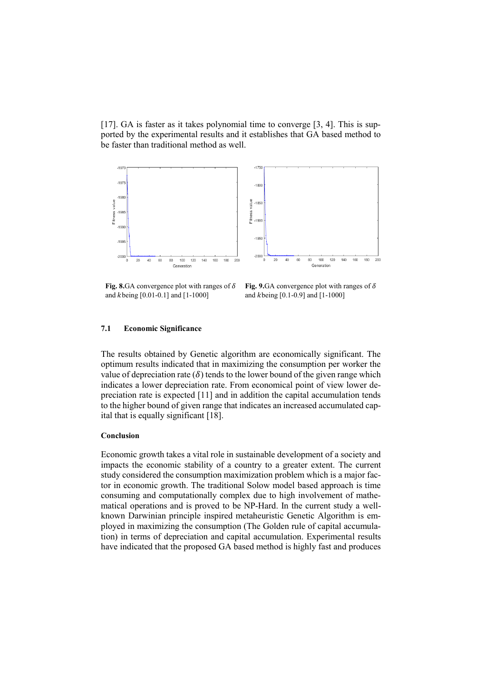[17]. GA is faster as it takes polynomial time to converge [3, 4]. This is supported by the experimental results and it establishes that GA based method to be faster than traditional method as well.



**Fig. 8.**GA convergence plot with ranges of  $\delta$ and  $k$ being [0.01-0.1] and [1-1000]

**Fig. 9.**GA convergence plot with ranges of  $\delta$ and  $k$ being [0.1-0.9] and [1-1000]

#### **7.1 Economic Significance**

The results obtained by Genetic algorithm are economically significant. The optimum results indicated that in maximizing the consumption per worker the value of depreciation rate  $(\delta)$  tends to the lower bound of the given range which indicates a lower depreciation rate. From economical point of view lower depreciation rate is expected [11] and in addition the capital accumulation tends to the higher bound of given range that indicates an increased accumulated capital that is equally significant [18].

#### **Conclusion**

Economic growth takes a vital role in sustainable development of a society and impacts the economic stability of a country to a greater extent. The current study considered the consumption maximization problem which is a major factor in economic growth. The traditional Solow model based approach is time consuming and computationally complex due to high involvement of mathematical operations and is proved to be NP-Hard. In the current study a wellknown Darwinian principle inspired metaheuristic Genetic Algorithm is employed in maximizing the consumption (The Golden rule of capital accumulation) in terms of depreciation and capital accumulation. Experimental results have indicated that the proposed GA based method is highly fast and produces